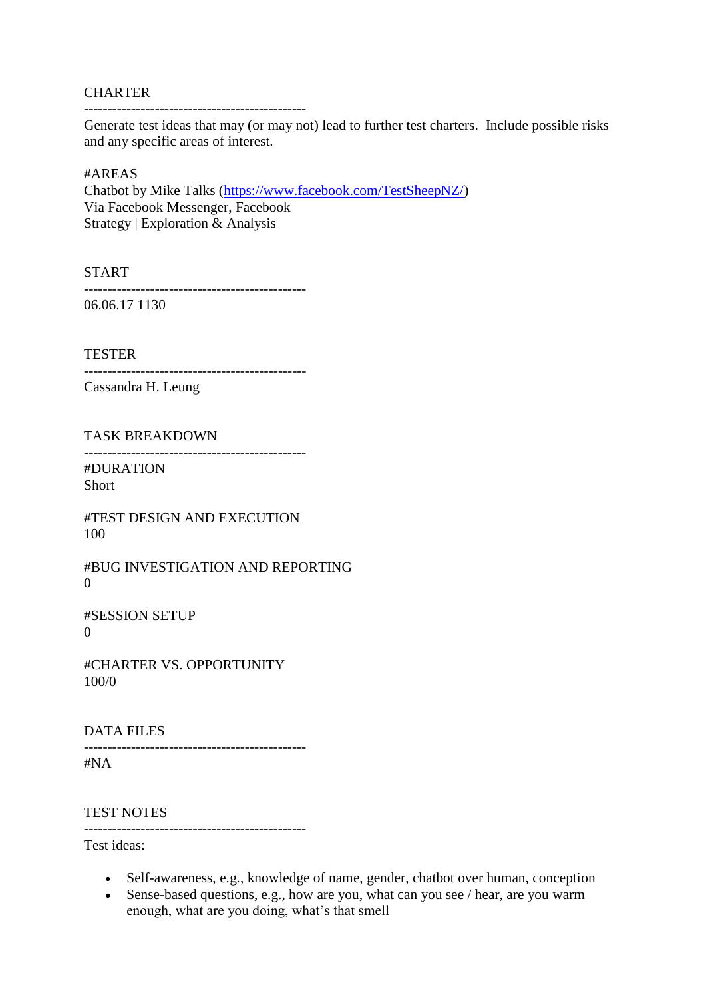## **CHARTER**

-----------------------------------------------

Generate test ideas that may (or may not) lead to further test charters. Include possible risks and any specific areas of interest.

## #AREAS

Chatbot by Mike Talks [\(https://www.facebook.com/TestSheepNZ/\)](https://www.facebook.com/TestSheepNZ/) Via Facebook Messenger, Facebook Strategy | Exploration & Analysis

START

-----------------------------------------------

06.06.17 1130

TESTER

-----------------------------------------------

Cassandra H. Leung

TASK BREAKDOWN

-----------------------------------------------

#DURATION Short

#TEST DESIGN AND EXECUTION 100

#BUG INVESTIGATION AND REPORTING  $\theta$ 

#SESSION SETUP  $\Omega$ 

#CHARTER VS. OPPORTUNITY 100/0

## DATA FILES

----------------------------------------------- #NA

TEST NOTES

-----------------------------------------------

Test ideas:

- Self-awareness, e.g., knowledge of name, gender, chatbot over human, conception
- Sense-based questions, e.g., how are you, what can you see / hear, are you warm enough, what are you doing, what's that smell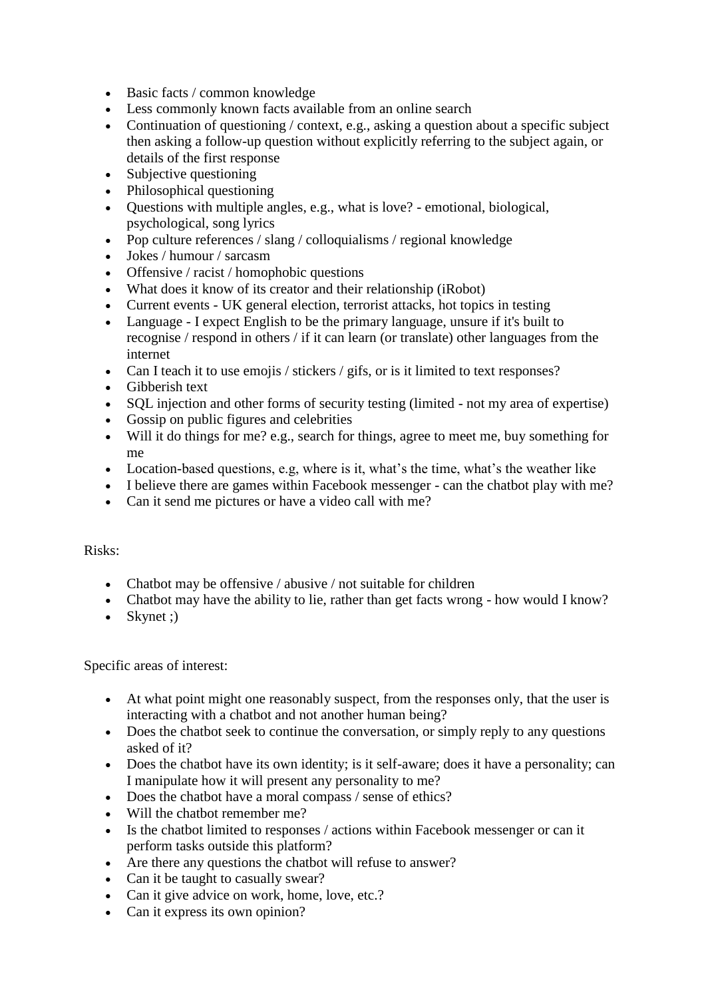- Basic facts / common knowledge
- Less commonly known facts available from an online search
- Continuation of questioning / context, e.g., asking a question about a specific subject then asking a follow-up question without explicitly referring to the subject again, or details of the first response
- Subjective questioning
- Philosophical questioning
- Questions with multiple angles, e.g., what is love? emotional, biological, psychological, song lyrics
- Pop culture references / slang / colloquialisms / regional knowledge
- Jokes / humour / sarcasm
- Offensive / racist / homophobic questions
- What does it know of its creator and their relationship (iRobot)
- Current events UK general election, terrorist attacks, hot topics in testing
- Language I expect English to be the primary language, unsure if it's built to recognise / respond in others / if it can learn (or translate) other languages from the internet
- Can I teach it to use emojis / stickers / gifs, or is it limited to text responses?
- Gibberish text
- SQL injection and other forms of security testing (limited not my area of expertise)
- Gossip on public figures and celebrities
- Will it do things for me? e.g., search for things, agree to meet me, buy something for me
- Location-based questions, e.g, where is it, what's the time, what's the weather like
- I believe there are games within Facebook messenger can the chatbot play with me?
- Can it send me pictures or have a video call with me?

## Risks:

- Chatbot may be offensive / abusive / not suitable for children
- Chatbot may have the ability to lie, rather than get facts wrong how would I know?
- Skynet ; $)$

Specific areas of interest:

- At what point might one reasonably suspect, from the responses only, that the user is interacting with a chatbot and not another human being?
- Does the chatbot seek to continue the conversation, or simply reply to any questions asked of it?
- Does the chatbot have its own identity; is it self-aware; does it have a personality; can I manipulate how it will present any personality to me?
- Does the chatbot have a moral compass / sense of ethics?
- Will the chatbot remember me?
- Is the chatbot limited to responses / actions within Facebook messenger or can it perform tasks outside this platform?
- Are there any questions the chatbot will refuse to answer?
- Can it be taught to casually swear?
- Can it give advice on work, home, love, etc.?
- Can it express its own opinion?